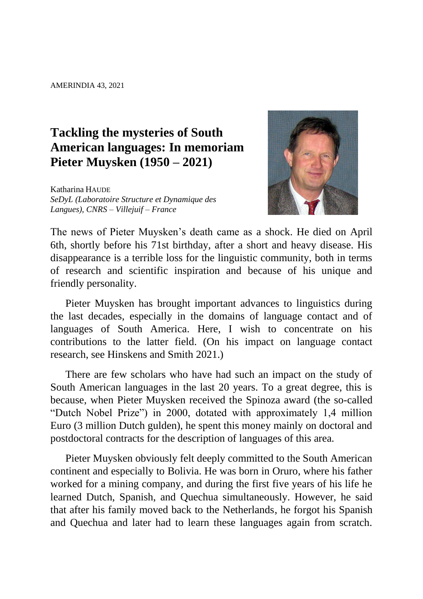## **Tackling the mysteries of South American languages: In memoriam Pieter Muysken (1950 – 2021)**

Katharina HAUDE *SeDyL (Laboratoire Structure et Dynamique des Langues), CNRS – Villejuif – France*



The news of Pieter Muysken's death came as a shock. He died on April 6th, shortly before his 71st birthday, after a short and heavy disease. His disappearance is a terrible loss for the linguistic community, both in terms of research and scientific inspiration and because of his unique and friendly personality.

Pieter Muysken has brought important advances to linguistics during the last decades, especially in the domains of language contact and of languages of South America. Here, I wish to concentrate on his contributions to the latter field. (On his impact on language contact research, see Hinskens and Smith 2021.)

There are few scholars who have had such an impact on the study of South American languages in the last 20 years. To a great degree, this is because, when Pieter Muysken received the Spinoza award (the so-called "Dutch Nobel Prize") in 2000, dotated with approximately 1,4 million Euro (3 million Dutch gulden), he spent this money mainly on doctoral and postdoctoral contracts for the description of languages of this area.

Pieter Muysken obviously felt deeply committed to the South American continent and especially to Bolivia. He was born in Oruro, where his father worked for a mining company, and during the first five years of his life he learned Dutch, Spanish, and Quechua simultaneously. However, he said that after his family moved back to the Netherlands, he forgot his Spanish and Quechua and later had to learn these languages again from scratch.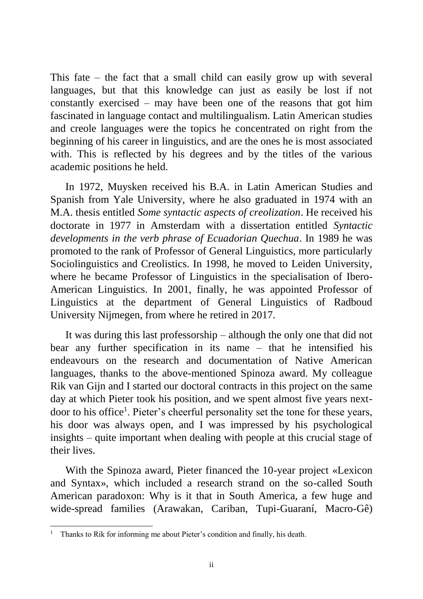This fate – the fact that a small child can easily grow up with several languages, but that this knowledge can just as easily be lost if not constantly exercised – may have been one of the reasons that got him fascinated in language contact and multilingualism. Latin American studies and creole languages were the topics he concentrated on right from the beginning of his career in linguistics, and are the ones he is most associated with. This is reflected by his degrees and by the titles of the various academic positions he held.

In 1972, Muysken received his B.A. in Latin American Studies and Spanish from Yale University, where he also graduated in 1974 with an M.A. thesis entitled *Some syntactic aspects of creolization*. He received his doctorate in 1977 in Amsterdam with a dissertation entitled *Syntactic developments in the verb phrase of Ecuadorian Quechua*. In 1989 he was promoted to the rank of Professor of General Linguistics, more particularly Sociolinguistics and Creolistics. In 1998, he moved to Leiden University, where he became Professor of Linguistics in the specialisation of Ibero-American Linguistics. In 2001, finally, he was appointed Professor of Linguistics at the department of General Linguistics of Radboud University Nijmegen, from where he retired in 2017.

It was during this last professorship – although the only one that did not bear any further specification in its name – that he intensified his endeavours on the research and documentation of Native American languages, thanks to the above-mentioned Spinoza award. My colleague Rik van Gijn and I started our doctoral contracts in this project on the same day at which Pieter took his position, and we spent almost five years nextdoor to his office<sup>1</sup>. Pieter's cheerful personality set the tone for these years, his door was always open, and I was impressed by his psychological insights – quite important when dealing with people at this crucial stage of their lives.

With the Spinoza award, Pieter financed the 10-year project «Lexicon and Syntax», which included a research strand on the so-called South American paradoxon: Why is it that in South America, a few huge and wide-spread families (Arawakan, Cariban, Tupi-Guaraní, Macro-Gê)

 $\overline{a}$ <sup>1</sup> Thanks to Rik for informing me about Pieter's condition and finally, his death.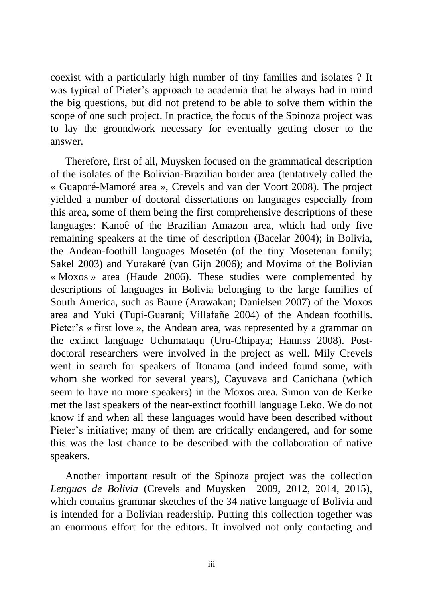coexist with a particularly high number of tiny families and isolates ? It was typical of Pieter's approach to academia that he always had in mind the big questions, but did not pretend to be able to solve them within the scope of one such project. In practice, the focus of the Spinoza project was to lay the groundwork necessary for eventually getting closer to the answer.

Therefore, first of all, Muysken focused on the grammatical description of the isolates of the Bolivian-Brazilian border area (tentatively called the « Guaporé-Mamoré area », Crevels and van der Voort 2008). The project yielded a number of doctoral dissertations on languages especially from this area, some of them being the first comprehensive descriptions of these languages: Kanoê of the Brazilian Amazon area, which had only five remaining speakers at the time of description (Bacelar 2004); in Bolivia, the Andean-foothill languages Mosetén (of the tiny Mosetenan family; Sakel 2003) and Yurakaré (van Gijn 2006); and Movima of the Bolivian « Moxos » area (Haude 2006). These studies were complemented by descriptions of languages in Bolivia belonging to the large families of South America, such as Baure (Arawakan; Danielsen 2007) of the Moxos area and Yuki (Tupi-Guaraní; Villafañe 2004) of the Andean foothills. Pieter's « first love », the Andean area, was represented by a grammar on the extinct language Uchumataqu (Uru-Chipaya; Hannss 2008). Postdoctoral researchers were involved in the project as well. Mily Crevels went in search for speakers of Itonama (and indeed found some, with whom she worked for several years), Cayuvava and Canichana (which seem to have no more speakers) in the Moxos area. Simon van de Kerke met the last speakers of the near-extinct foothill language Leko. We do not know if and when all these languages would have been described without Pieter's initiative; many of them are critically endangered, and for some this was the last chance to be described with the collaboration of native speakers.

Another important result of the Spinoza project was the collection *Lenguas de Bolivia* (Crevels and Muysken 2009, 2012, 2014, 2015), which contains grammar sketches of the 34 native language of Bolivia and is intended for a Bolivian readership. Putting this collection together was an enormous effort for the editors. It involved not only contacting and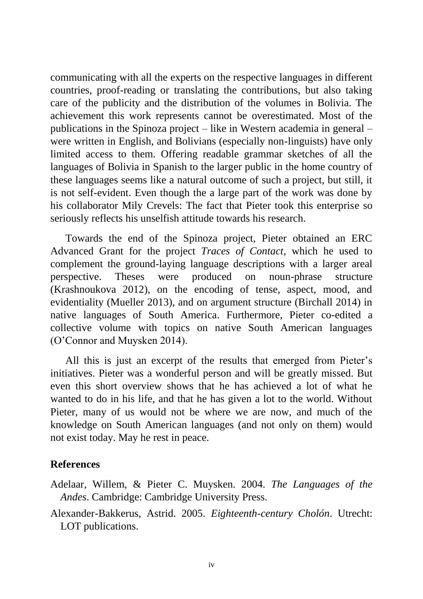communicating with all the experts on the respective languages in different countries, proof-reading or translating the contributions, but also taking care of the publicity and the distribution of the volumes in Bolivia. The achievement this work represents cannot be overestimated. Most of the publications in the Spinoza project – like in Western academia in general – were written in English, and Bolivians (especially non-linguists) have only limited access to them. Offering readable grammar sketches of all the languages of Bolivia in Spanish to the larger public in the home country of these languages seems like a natural outcome of such a project, but still, it is not self-evident. Even though the a large part of the work was done by his collaborator Mily Crevels: The fact that Pieter took this enterprise so seriously reflects his unselfish attitude towards his research.

Towards the end of the Spinoza project, Pieter obtained an ERC Advanced Grant for the project *Traces of Contact*, which he used to complement the ground-laying language descriptions with a larger areal perspective. Theses were produced on noun-phrase structure (Krashnoukova 2012), on the encoding of tense, aspect, mood, and evidentiality (Mueller 2013), and on argument structure (Birchall 2014) in native languages of South America. Furthermore, Pieter co-edited a collective volume with topics on native South American languages (O'Connor and Muysken 2014).

All this is just an excerpt of the results that emerged from Pieter's initiatives. Pieter was a wonderful person and will be greatly missed. But even this short overview shows that he has achieved a lot of what he wanted to do in his life, and that he has given a lot to the world. Without Pieter, many of us would not be where we are now, and much of the knowledge on South American languages (and not only on them) would not exist today. May he rest in peace.

## **References**

- Adelaar, Willem, & Pieter C. Muysken. 2004. *The Languages of the Andes*. Cambridge: Cambridge University Press.
- Alexander-Bakkerus, Astrid. 2005. *Eighteenth-century Cholón*. Utrecht: LOT publications.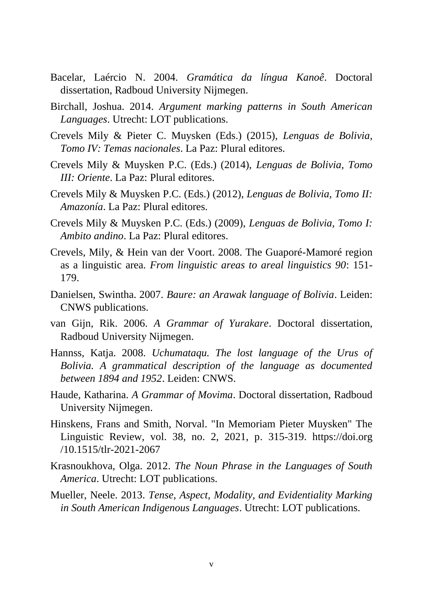- Bacelar, Laércio N. 2004. *Gramática da língua Kanoê*. Doctoral dissertation, Radboud University Nijmegen.
- Birchall, Joshua. 2014. *Argument marking patterns in South American Languages*. Utrecht: LOT publications.
- Crevels Mily & Pieter C. Muysken (Eds.) (2015), *Lenguas de Bolivia, Tomo IV: Temas nacionales*. La Paz: Plural editores.
- Crevels Mily & Muysken P.C. (Eds.) (2014), *Lenguas de Bolivia, Tomo III: Oriente*. La Paz: Plural editores.
- Crevels Mily & Muysken P.C. (Eds.) (2012), *Lenguas de Bolivia, Tomo II: Amazonía*. La Paz: Plural editores.
- Crevels Mily & Muysken P.C. (Eds.) (2009), *Lenguas de Bolivia, Tomo I: Ambito andino*. La Paz: Plural editores.
- Crevels, Mily, & Hein van der Voort. 2008. The Guaporé-Mamoré region as a linguistic area. *From linguistic areas to areal linguistics 90*: 151- 179.
- Danielsen, Swintha. 2007. *Baure: an Arawak language of Bolivia*. Leiden: CNWS publications.
- van Gijn, Rik. 2006. *A Grammar of Yurakare*. Doctoral dissertation, Radboud University Nijmegen.
- Hannss, Katja. 2008. *Uchumataqu. The lost language of the Urus of Bolivia. A grammatical description of the language as documented between 1894 and 1952*. Leiden: CNWS.
- Haude, Katharina. *A Grammar of Movima*. Doctoral dissertation, Radboud University Nijmegen.
- Hinskens, Frans and Smith, Norval. "In Memoriam Pieter Muysken" The Linguistic Review, vol. 38, no. 2, 2021, p. 315-319. https://doi.org /10.1515/tlr-2021-2067
- Krasnoukhova, Olga. 2012. *The Noun Phrase in the Languages of South America*. Utrecht: LOT publications.
- Mueller, Neele. 2013. *Tense, Aspect, Modality, and Evidentiality Marking in South American Indigenous Languages*. Utrecht: LOT publications.